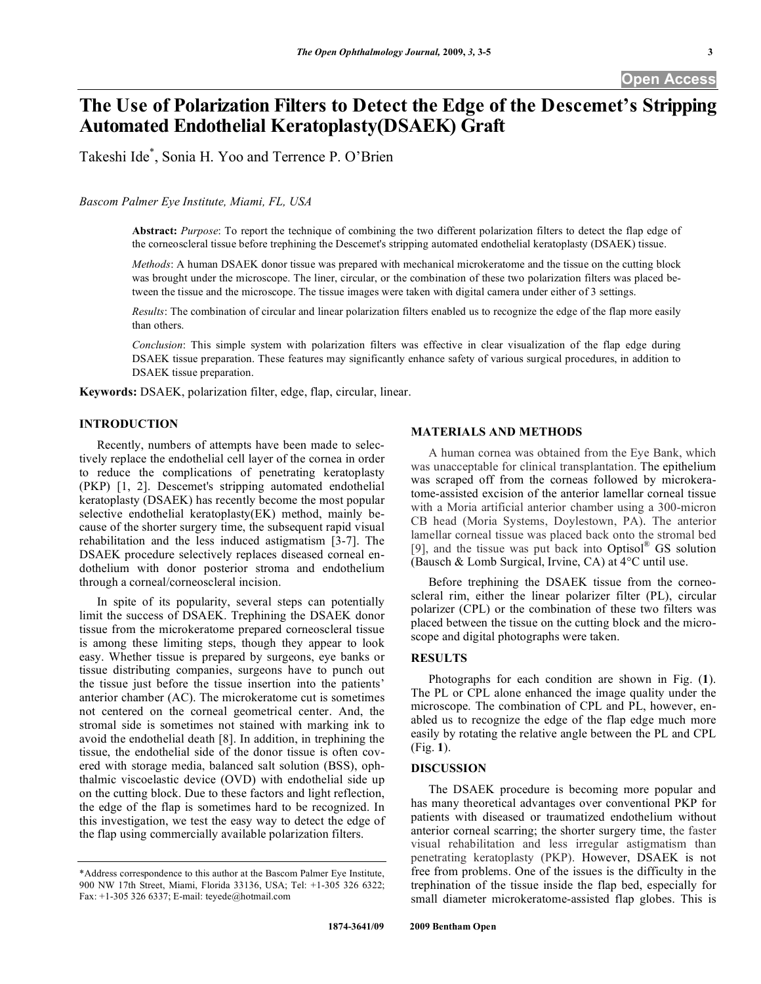**Open Access** 

# **The Use of Polarization Filters to Detect the Edge of the Descemet's Stripping Automated Endothelial Keratoplasty(DSAEK) Graft**

Takeshi Ide\* , Sonia H. Yoo and Terrence P. O'Brien

*Bascom Palmer Eye Institute, Miami, FL, USA* 

**Abstract:** *Purpose*: To report the technique of combining the two different polarization filters to detect the flap edge of the corneoscleral tissue before trephining the Descemet's stripping automated endothelial keratoplasty (DSAEK) tissue.

*Methods*: A human DSAEK donor tissue was prepared with mechanical microkeratome and the tissue on the cutting block was brought under the microscope. The liner, circular, or the combination of these two polarization filters was placed between the tissue and the microscope. The tissue images were taken with digital camera under either of 3 settings.

*Results*: The combination of circular and linear polarization filters enabled us to recognize the edge of the flap more easily than others.

*Conclusion*: This simple system with polarization filters was effective in clear visualization of the flap edge during DSAEK tissue preparation. These features may significantly enhance safety of various surgical procedures, in addition to DSAEK tissue preparation.

**Keywords:** DSAEK, polarization filter, edge, flap, circular, linear.

# **INTRODUCTION**

 Recently, numbers of attempts have been made to selectively replace the endothelial cell layer of the cornea in order to reduce the complications of penetrating keratoplasty (PKP) [1, 2]. Descemet's stripping automated endothelial keratoplasty (DSAEK) has recently become the most popular selective endothelial keratoplasty(EK) method, mainly because of the shorter surgery time, the subsequent rapid visual rehabilitation and the less induced astigmatism [3-7]. The DSAEK procedure selectively replaces diseased corneal endothelium with donor posterior stroma and endothelium through a corneal/corneoscleral incision.

 In spite of its popularity, several steps can potentially limit the success of DSAEK. Trephining the DSAEK donor tissue from the microkeratome prepared corneoscleral tissue is among these limiting steps, though they appear to look easy. Whether tissue is prepared by surgeons, eye banks or tissue distributing companies, surgeons have to punch out the tissue just before the tissue insertion into the patients' anterior chamber (AC). The microkeratome cut is sometimes not centered on the corneal geometrical center. And, the stromal side is sometimes not stained with marking ink to avoid the endothelial death [8]. In addition, in trephining the tissue, the endothelial side of the donor tissue is often covered with storage media, balanced salt solution (BSS), ophthalmic viscoelastic device (OVD) with endothelial side up on the cutting block. Due to these factors and light reflection, the edge of the flap is sometimes hard to be recognized. In this investigation, we test the easy way to detect the edge of the flap using commercially available polarization filters.

## **MATERIALS AND METHODS**

 A human cornea was obtained from the Eye Bank, which was unacceptable for clinical transplantation. The epithelium was scraped off from the corneas followed by microkeratome-assisted excision of the anterior lamellar corneal tissue with a Moria artificial anterior chamber using a 300-micron CB head (Moria Systems, Doylestown, PA). The anterior lamellar corneal tissue was placed back onto the stromal bed [9], and the tissue was put back into Optisol® GS solution (Bausch & Lomb Surgical, Irvine, CA) at 4°C until use.

 Before trephining the DSAEK tissue from the corneoscleral rim, either the linear polarizer filter (PL), circular polarizer (CPL) or the combination of these two filters was placed between the tissue on the cutting block and the microscope and digital photographs were taken.

# **RESULTS**

 Photographs for each condition are shown in Fig. (**1**). The PL or CPL alone enhanced the image quality under the microscope. The combination of CPL and PL, however, enabled us to recognize the edge of the flap edge much more easily by rotating the relative angle between the PL and CPL (Fig. **1**).

#### **DISCUSSION**

 The DSAEK procedure is becoming more popular and has many theoretical advantages over conventional PKP for patients with diseased or traumatized endothelium without anterior corneal scarring; the shorter surgery time, the faster visual rehabilitation and less irregular astigmatism than penetrating keratoplasty (PKP). However, DSAEK is not free from problems. One of the issues is the difficulty in the trephination of the tissue inside the flap bed, especially for small diameter microkeratome-assisted flap globes. This is

<sup>\*</sup>Address correspondence to this author at the Bascom Palmer Eye Institute, 900 NW 17th Street, Miami, Florida 33136, USA; Tel: +1-305 326 6322; Fax: +1-305 326 6337; E-mail: teyede@hotmail.com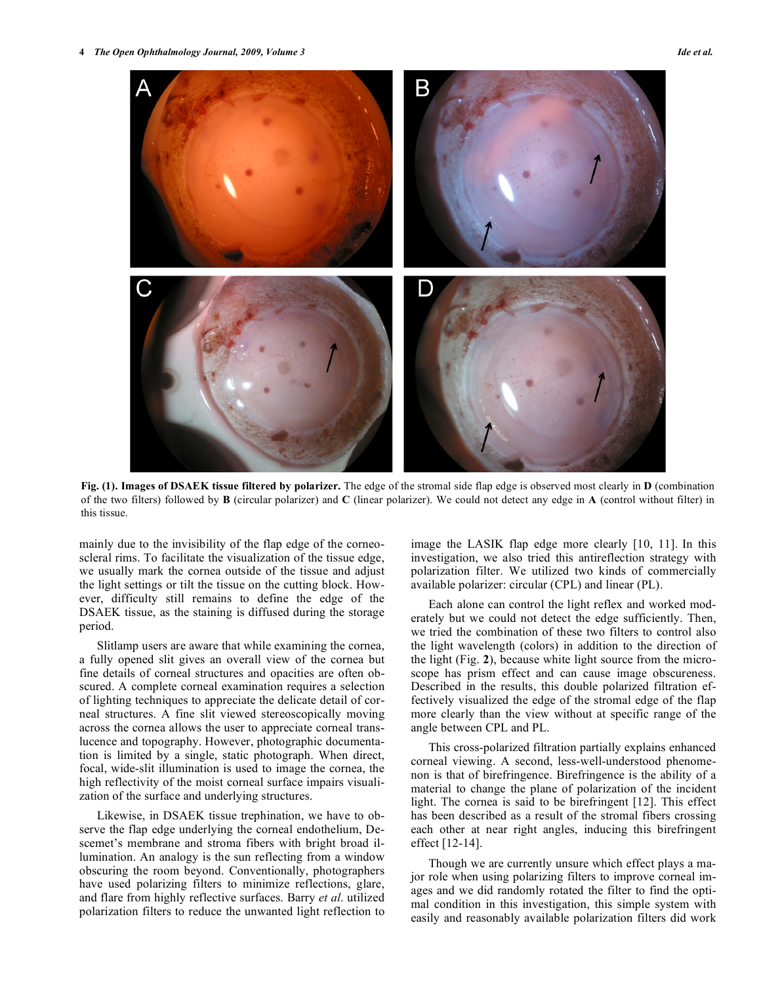

**Fig. (1). Images of DSAEK tissue filtered by polarizer.** The edge of the stromal side flap edge is observed most clearly in **D** (combination of the two filters) followed by **B** (circular polarizer) and **C** (linear polarizer). We could not detect any edge in **A** (control without filter) in this tissue.

mainly due to the invisibility of the flap edge of the corneoscleral rims. To facilitate the visualization of the tissue edge, we usually mark the cornea outside of the tissue and adjust the light settings or tilt the tissue on the cutting block. However, difficulty still remains to define the edge of the DSAEK tissue, as the staining is diffused during the storage period.

 Slitlamp users are aware that while examining the cornea, a fully opened slit gives an overall view of the cornea but fine details of corneal structures and opacities are often obscured. A complete corneal examination requires a selection of lighting techniques to appreciate the delicate detail of corneal structures. A fine slit viewed stereoscopically moving across the cornea allows the user to appreciate corneal translucence and topography. However, photographic documentation is limited by a single, static photograph. When direct, focal, wide-slit illumination is used to image the cornea, the high reflectivity of the moist corneal surface impairs visualization of the surface and underlying structures.

 Likewise, in DSAEK tissue trephination, we have to observe the flap edge underlying the corneal endothelium, Descemet's membrane and stroma fibers with bright broad illumination. An analogy is the sun reflecting from a window obscuring the room beyond. Conventionally, photographers have used polarizing filters to minimize reflections, glare, and flare from highly reflective surfaces. Barry *et al*. utilized polarization filters to reduce the unwanted light reflection to

image the LASIK flap edge more clearly [10, 11]. In this investigation, we also tried this antireflection strategy with polarization filter. We utilized two kinds of commercially available polarizer: circular (CPL) and linear (PL).

 Each alone can control the light reflex and worked moderately but we could not detect the edge sufficiently. Then, we tried the combination of these two filters to control also the light wavelength (colors) in addition to the direction of the light (Fig. **2**), because white light source from the microscope has prism effect and can cause image obscureness. Described in the results, this double polarized filtration effectively visualized the edge of the stromal edge of the flap more clearly than the view without at specific range of the angle between CPL and PL.

 This cross-polarized filtration partially explains enhanced corneal viewing. A second, less-well-understood phenomenon is that of birefringence. Birefringence is the ability of a material to change the plane of polarization of the incident light. The cornea is said to be birefringent [12]. This effect has been described as a result of the stromal fibers crossing each other at near right angles, inducing this birefringent effect [12-14].

 Though we are currently unsure which effect plays a major role when using polarizing filters to improve corneal images and we did randomly rotated the filter to find the optimal condition in this investigation, this simple system with easily and reasonably available polarization filters did work